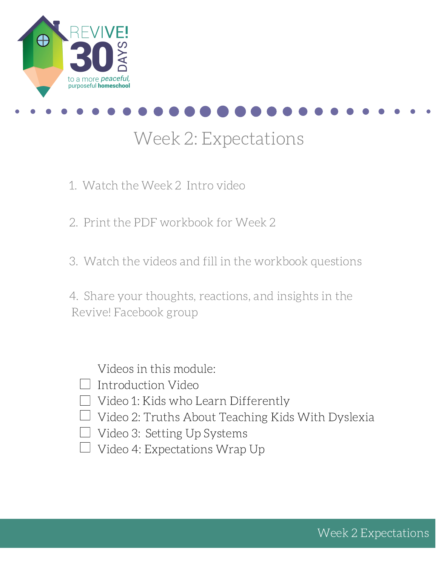



## Week 2: Expectations

- 1. Watch the Week 2 Intro video
- 2. Print the PDF workbook for Week 2
- 3. Watch the videos and fill in the workbook questions

4. Share your thoughts, reactions, and insights in the Revive! Facebook group

Videos in this module:

- $\Box$  Introduction Video
- $\Box$  Video 1: Kids who Learn Differently
- $\Box$  Video 2: Truths About Teaching Kids With Dyslexia
- □ Video 3: Setting Up Systems
- $\Box$  Video 4: Expectations Wrap Up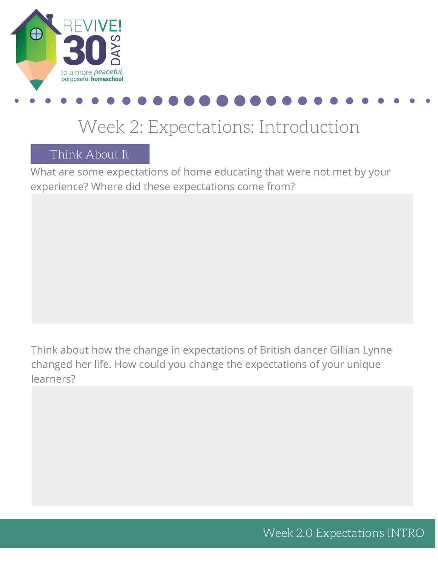

## Week 2: Expectations: Introduction

Think About It

What are some expectations of home educating that were not met by your experience? Where did these expectations come from?

Think about how the change in expectations of British dancer Gillian Lynne changed her life. How could you change the expectations of your unique learners?

Week 2.0 Expectations INTRO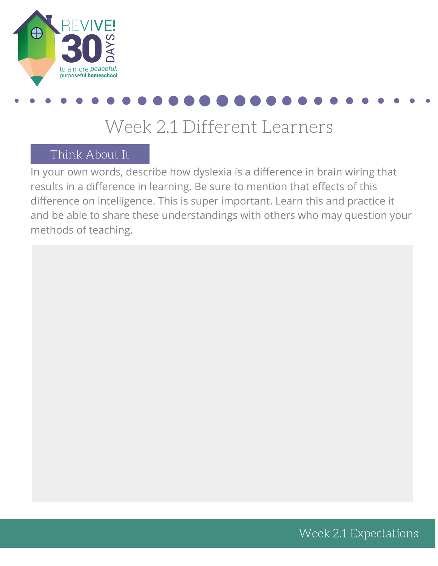

### Week 2.1 Different Learners

### Think About It

In your own words, describe how dyslexia is a difference in brain wiring that results in a difference in learning. Be sure to mention that effects of this difference on intelligence. This is super important. Learn this and practice it and be able to share these understandings with others who may question your methods of teaching.

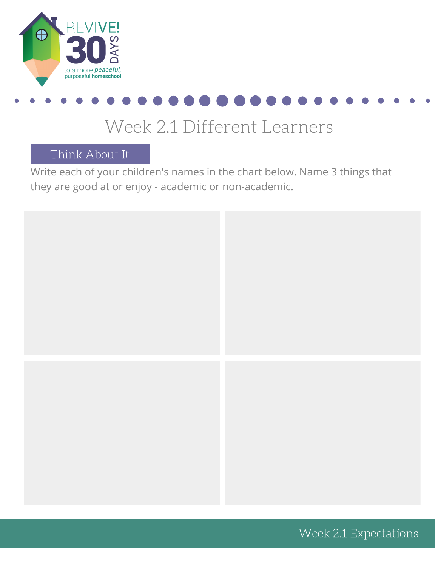



### Week 2.1 Different Learners

Think About It

Write each of your children's names in the chart below. Name 3 things that they are good at or enjoy - academic or non-academic.



Week 2.1 Expectations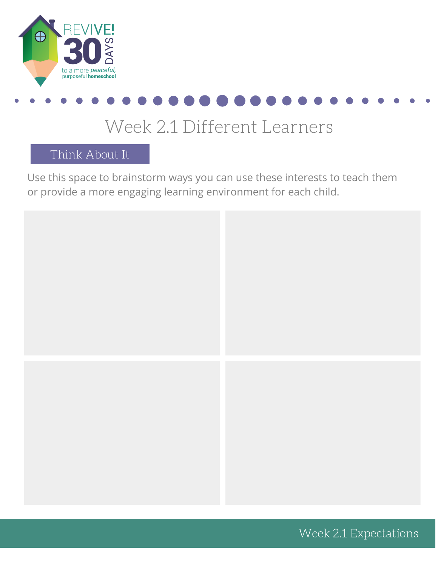



### Week 2.1 Different Learners

Think About It

Use this space to brainstorm ways you can use these interests to teach them or provide a more engaging learning environment for each child.



Week 2.1 Expectations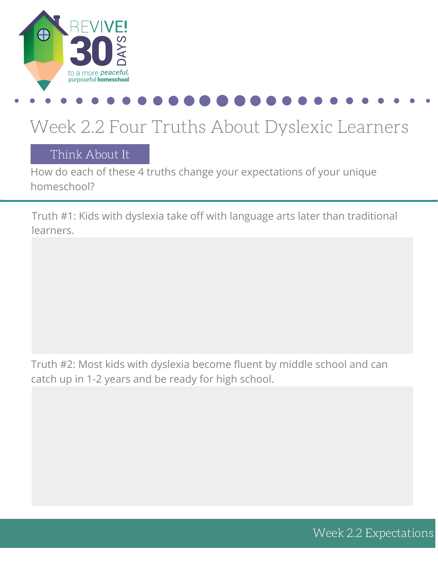

# Week 2.2 Four Truths About Dyslexic Learners

### Think About It

How do each of these 4 truths change your expectations of your unique homeschool?

Truth #1: Kids with dyslexia take off with language arts later than traditional learners.

Truth #2: Most kids with dyslexia become fluent by middle school and can catch up in 1-2 years and be ready for high school.

Week 2.2 Expectations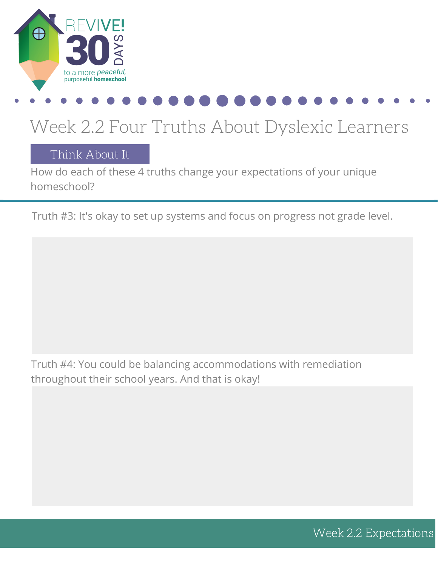

## Week 2.2 Four Truths About Dyslexic Learners

Think About It

How do each of these 4 truths change your expectations of your unique homeschool?

Truth #3: It's okay to set up systems and focus on progress not grade level.

Truth #4: You could be balancing accommodations with remediation throughout their school years. And that is okay!

Week 2.2 Expectations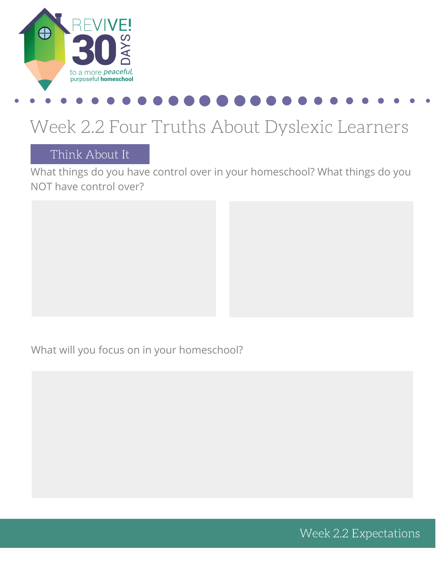

## Week 2.2 Four Truths About Dyslexic Learners

### Think About It

What things do you have control over in your homeschool? What things do you NOT have control over?

What will you focus on in your homeschool?

Week 2.2 Expectations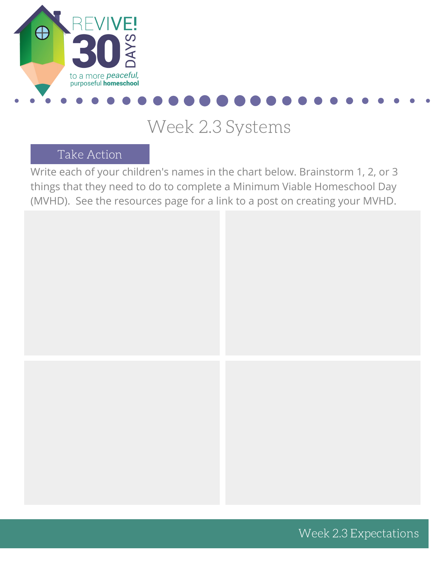

## Week 2.3 Systems

### Take Action

Write each of your children's names in the chart below. Brainstorm 1, 2, or 3 things that they need to do to complete a Minimum Viable Homeschool Day (MVHD). See the resources page for a link to a post on creating your MVHD.



Week 2.3 Expectations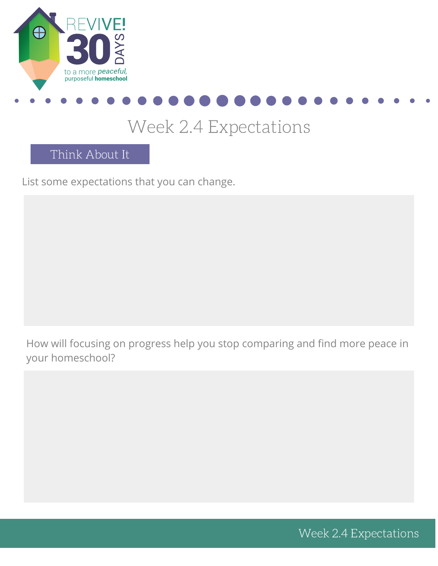



## Week 2.4 Expectations

Think About It

List some expectations that you can change.

How will focusing on progress help you stop comparing and find more peace in your homeschool?

Week 2.4 Expectations